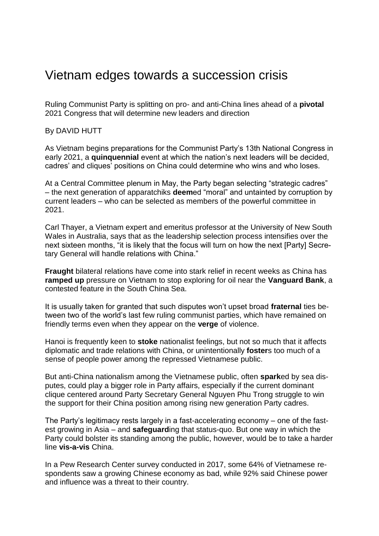## Vietnam edges towards a succession crisis

Ruling Communist Party is splitting on pro- and anti-China lines ahead of a **pivotal** 2021 Congress that will determine new leaders and direction

By DAVID HUTT

As Vietnam begins preparations for the Communist Party's 13th National Congress in early 2021, a **quinquennial** event at which the nation's next leaders will be decided, cadres' and cliques' positions on China could determine who wins and who loses.

At a Central Committee plenum in May, the Party began selecting "strategic cadres" – the next generation of apparatchiks **deem**ed "moral" and untainted by corruption by current leaders – who can be selected as members of the powerful committee in 2021.

Carl Thayer, a Vietnam expert and emeritus professor at the University of New South Wales in Australia, says that as the leadership selection process intensifies over the next sixteen months, "it is likely that the focus will turn on how the next [Party] Secretary General will handle relations with China."

**Fraught** bilateral relations have come into stark relief in recent weeks as China has **ramped up** pressure on Vietnam to stop exploring for oil near the **Vanguard Bank**, a contested feature in the South China Sea.

It is usually taken for granted that such disputes won't upset broad **fraternal** ties between two of the world's last few ruling communist parties, which have remained on friendly terms even when they appear on the **verge** of violence.

Hanoi is frequently keen to **stoke** nationalist feelings, but not so much that it affects diplomatic and trade relations with China, or unintentionally **foster**s too much of a sense of people power among the repressed Vietnamese public.

But anti-China nationalism among the Vietnamese public, often **spark**ed by sea disputes, could play a bigger role in Party affairs, especially if the current dominant clique centered around Party Secretary General Nguyen Phu Trong struggle to win the support for their China position among rising new generation Party cadres.

The Party's legitimacy rests largely in a fast-accelerating economy – one of the fastest growing in Asia – and **safeguard**ing that status-quo. But one way in which the Party could bolster its standing among the public, however, would be to take a harder line **vis-a-vis** China.

In a Pew Research Center survey conducted in 2017, some 64% of Vietnamese respondents saw a growing Chinese economy as bad, while 92% said Chinese power and influence was a threat to their country.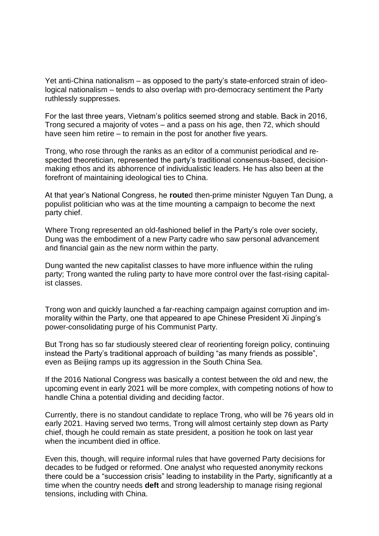Yet anti-China nationalism – as opposed to the party's state-enforced strain of ideological nationalism – tends to also overlap with pro-democracy sentiment the Party ruthlessly suppresses.

For the last three years, Vietnam's politics seemed strong and stable. Back in 2016, Trong secured a majority of votes – and a pass on his age, then 72, which should have seen him retire – to remain in the post for another five years.

Trong, who rose through the ranks as an editor of a communist periodical and respected theoretician, represented the party's traditional consensus-based, decisionmaking ethos and its abhorrence of individualistic leaders. He has also been at the forefront of maintaining ideological ties to China.

At that year's National Congress, he **route**d then-prime minister Nguyen Tan Dung, a populist politician who was at the time mounting a campaign to become the next party chief.

Where Trong represented an old-fashioned belief in the Party's role over society, Dung was the embodiment of a new Party cadre who saw personal advancement and financial gain as the new norm within the party.

Dung wanted the new capitalist classes to have more influence within the ruling party; Trong wanted the ruling party to have more control over the fast-rising capitalist classes.

Trong won and quickly launched a far-reaching campaign against corruption and immorality within the Party, one that appeared to ape Chinese President Xi Jinping's power-consolidating purge of his Communist Party.

But Trong has so far studiously steered clear of reorienting foreign policy, continuing instead the Party's traditional approach of building "as many friends as possible", even as Beijing ramps up its aggression in the South China Sea.

If the 2016 National Congress was basically a contest between the old and new, the upcoming event in early 2021 will be more complex, with competing notions of how to handle China a potential dividing and deciding factor.

Currently, there is no standout candidate to replace Trong, who will be 76 years old in early 2021. Having served two terms, Trong will almost certainly step down as Party chief, though he could remain as state president, a position he took on last year when the incumbent died in office.

Even this, though, will require informal rules that have governed Party decisions for decades to be fudged or reformed. One analyst who requested anonymity reckons there could be a "succession crisis" leading to instability in the Party, significantly at a time when the country needs **deft** and strong leadership to manage rising regional tensions, including with China.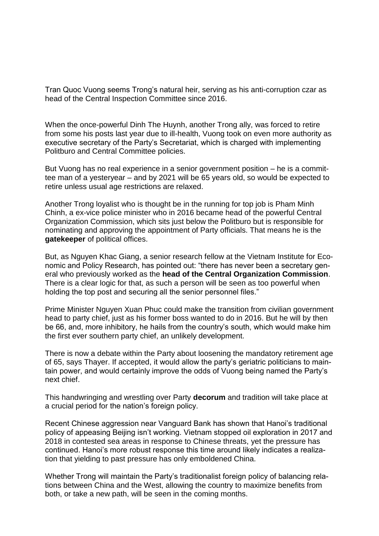Tran Quoc Vuong seems Trong's natural heir, serving as his anti-corruption czar as head of the Central Inspection Committee since 2016.

When the once-powerful Dinh The Huynh, another Trong ally, was forced to retire from some his posts last year due to ill-health, Vuong took on even more authority as executive secretary of the Party's Secretariat, which is charged with implementing Politburo and Central Committee policies.

But Vuong has no real experience in a senior government position – he is a committee man of a yesteryear – and by 2021 will be 65 years old, so would be expected to retire unless usual age restrictions are relaxed.

Another Trong loyalist who is thought be in the running for top job is Pham Minh Chinh, a ex-vice police minister who in 2016 became head of the powerful Central Organization Commission, which sits just below the Politburo but is responsible for nominating and approving the appointment of Party officials. That means he is the **gatekeeper** of political offices.

But, as Nguyen Khac Giang, a senior research fellow at the Vietnam Institute for Economic and Policy Research, has pointed out: "there has never been a secretary general who previously worked as the **head of the Central Organization Commission**. There is a clear logic for that, as such a person will be seen as too powerful when holding the top post and securing all the senior personnel files."

Prime Minister Nguyen Xuan Phuc could make the transition from civilian government head to party chief, just as his former boss wanted to do in 2016. But he will by then be 66, and, more inhibitory, he hails from the country's south, which would make him the first ever southern party chief, an unlikely development.

There is now a debate within the Party about loosening the mandatory retirement age of 65, says Thayer. If accepted, it would allow the party's geriatric politicians to maintain power, and would certainly improve the odds of Vuong being named the Party's next chief.

This handwringing and wrestling over Party **decorum** and tradition will take place at a crucial period for the nation's foreign policy.

Recent Chinese aggression near Vanguard Bank has shown that Hanoi's traditional policy of appeasing Beijing isn't working. Vietnam stopped oil exploration in 2017 and 2018 in contested sea areas in response to Chinese threats, yet the pressure has continued. Hanoi's more robust response this time around likely indicates a realization that yielding to past pressure has only emboldened China.

Whether Trong will maintain the Party's traditionalist foreign policy of balancing relations between China and the West, allowing the country to maximize benefits from both, or take a new path, will be seen in the coming months.